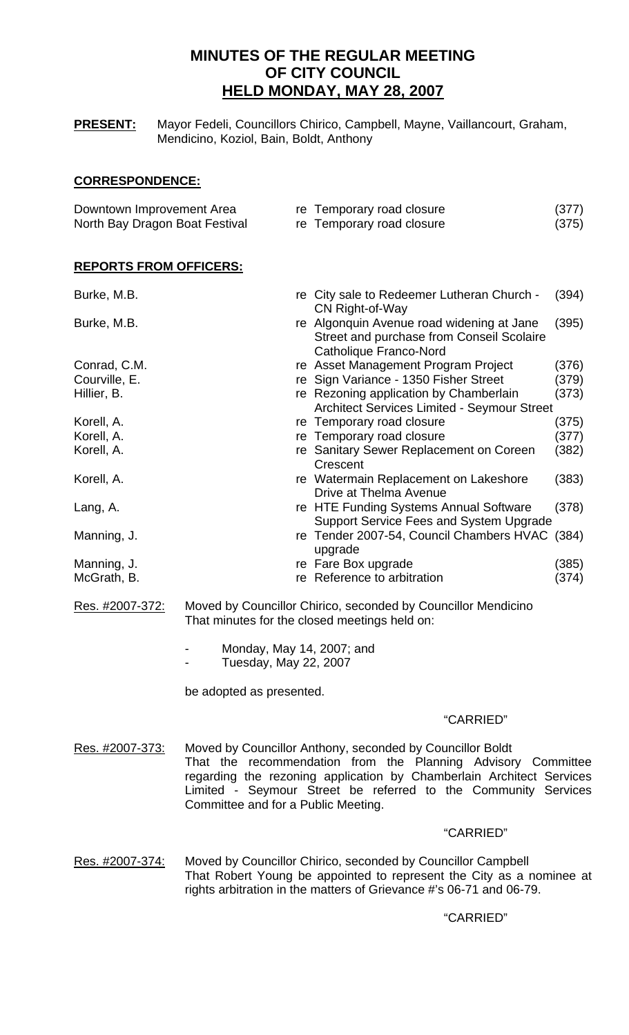# **MINUTES OF THE REGULAR MEETING OF CITY COUNCIL HELD MONDAY, MAY 28, 2007**

**PRESENT:** Mayor Fedeli, Councillors Chirico, Campbell, Mayne, Vaillancourt, Graham, Mendicino, Koziol, Bain, Boldt, Anthony

# **CORRESPONDENCE:**

| Downtown Improvement Area      | re Temporary road closure | (377) |
|--------------------------------|---------------------------|-------|
| North Bay Dragon Boat Festival | re Temporary road closure | (375) |

# **REPORTS FROM OFFICERS:**

| Burke, M.B.   | re City sale to Redeemer Lutheran Church -<br>CN Right-of-Way                                                    | (394) |
|---------------|------------------------------------------------------------------------------------------------------------------|-------|
| Burke, M.B.   | re Algonquin Avenue road widening at Jane<br>Street and purchase from Conseil Scolaire<br>Catholique Franco-Nord | (395) |
| Conrad, C.M.  | re Asset Management Program Project                                                                              | (376) |
| Courville, E. | re Sign Variance - 1350 Fisher Street                                                                            | (379) |
| Hillier, B.   | re Rezoning application by Chamberlain<br><b>Architect Services Limited - Seymour Street</b>                     | (373) |
| Korell, A.    | re Temporary road closure                                                                                        | (375) |
| Korell, A.    | re Temporary road closure                                                                                        | (377) |
| Korell, A.    | re Sanitary Sewer Replacement on Coreen<br>Crescent                                                              | (382) |
| Korell, A.    | re Watermain Replacement on Lakeshore<br>Drive at Thelma Avenue                                                  | (383) |
| Lang, A.      | re HTE Funding Systems Annual Software<br>Support Service Fees and System Upgrade                                | (378) |
| Manning, J.   | re Tender 2007-54, Council Chambers HVAC (384)<br>upgrade                                                        |       |
| Manning, J.   | re Fare Box upgrade                                                                                              | (385) |
| McGrath, B.   | re Reference to arbitration                                                                                      | (374) |

- Res. #2007-372: Moved by Councillor Chirico, seconded by Councillor Mendicino That minutes for the closed meetings held on:
	- Monday, May 14, 2007; and
	- Tuesday, May 22, 2007

be adopted as presented.

# "CARRIED"

Res. #2007-373: Moved by Councillor Anthony, seconded by Councillor Boldt That the recommendation from the Planning Advisory Committee regarding the rezoning application by Chamberlain Architect Services Limited - Seymour Street be referred to the Community Services Committee and for a Public Meeting.

## "CARRIED"

Res. #2007-374: Moved by Councillor Chirico, seconded by Councillor Campbell That Robert Young be appointed to represent the City as a nominee at rights arbitration in the matters of Grievance #'s 06-71 and 06-79.

# "CARRIED"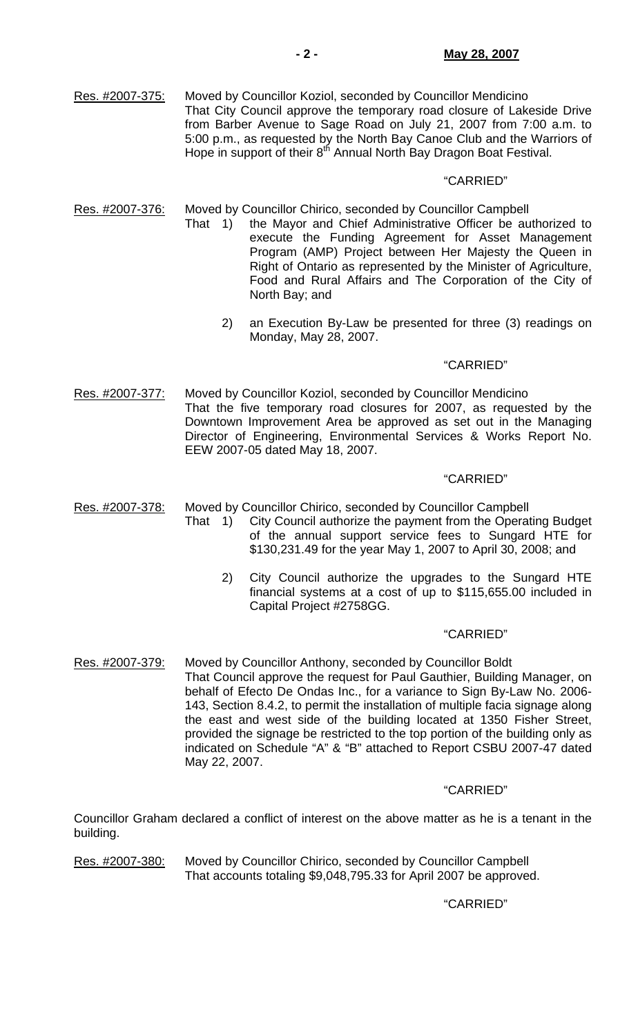Res. #2007-375: Moved by Councillor Koziol, seconded by Councillor Mendicino That City Council approve the temporary road closure of Lakeside Drive from Barber Avenue to Sage Road on July 21, 2007 from 7:00 a.m. to 5:00 p.m., as requested by the North Bay Canoe Club and the Warriors of Hope in support of their 8<sup>th</sup> Annual North Bay Dragon Boat Festival.

## "CARRIED"

Res. #2007-376: Moved by Councillor Chirico, seconded by Councillor Campbell

- That 1) the Mayor and Chief Administrative Officer be authorized to execute the Funding Agreement for Asset Management Program (AMP) Project between Her Majesty the Queen in Right of Ontario as represented by the Minister of Agriculture, Food and Rural Affairs and The Corporation of the City of North Bay; and
	- 2) an Execution By-Law be presented for three (3) readings on Monday, May 28, 2007.

# "CARRIED"

Res. #2007-377: Moved by Councillor Koziol, seconded by Councillor Mendicino That the five temporary road closures for 2007, as requested by the Downtown Improvement Area be approved as set out in the Managing Director of Engineering, Environmental Services & Works Report No. EEW 2007-05 dated May 18, 2007.

#### "CARRIED"

Res. #2007-378: Moved by Councillor Chirico, seconded by Councillor Campbell

- That 1) City Council authorize the payment from the Operating Budget of the annual support service fees to Sungard HTE for \$130,231.49 for the year May 1, 2007 to April 30, 2008; and
	- 2) City Council authorize the upgrades to the Sungard HTE financial systems at a cost of up to \$115,655.00 included in Capital Project #2758GG.

#### "CARRIED"

Res. #2007-379: Moved by Councillor Anthony, seconded by Councillor Boldt That Council approve the request for Paul Gauthier, Building Manager, on behalf of Efecto De Ondas Inc., for a variance to Sign By-Law No. 2006- 143, Section 8.4.2, to permit the installation of multiple facia signage along the east and west side of the building located at 1350 Fisher Street, provided the signage be restricted to the top portion of the building only as indicated on Schedule "A" & "B" attached to Report CSBU 2007-47 dated May 22, 2007.

## "CARRIED"

Councillor Graham declared a conflict of interest on the above matter as he is a tenant in the building.

Res. #2007-380: Moved by Councillor Chirico, seconded by Councillor Campbell That accounts totaling \$9,048,795.33 for April 2007 be approved.

"CARRIED"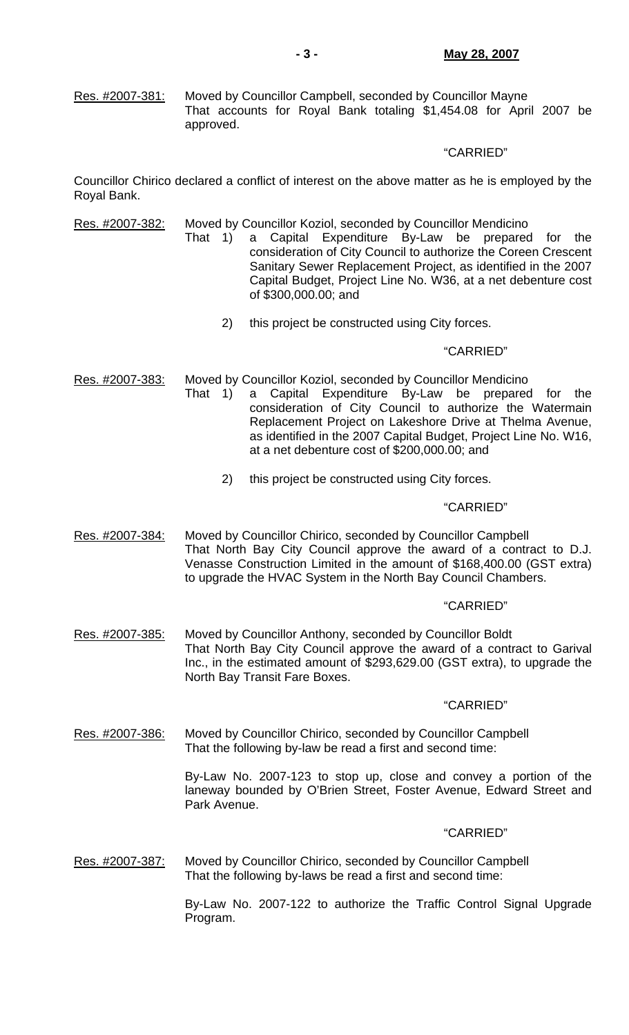Res. #2007-381: Moved by Councillor Campbell, seconded by Councillor Mayne That accounts for Royal Bank totaling \$1,454.08 for April 2007 be approved.

# "CARRIED"

Councillor Chirico declared a conflict of interest on the above matter as he is employed by the Royal Bank.

Res. #2007-382: Moved by Councillor Koziol, seconded by Councillor Mendicino

- That 1) a Capital Expenditure By-Law be prepared for the consideration of City Council to authorize the Coreen Crescent Sanitary Sewer Replacement Project, as identified in the 2007 Capital Budget, Project Line No. W36, at a net debenture cost of \$300,000.00; and
	- 2) this project be constructed using City forces.

## "CARRIED"

Res. #2007-383: Moved by Councillor Koziol, seconded by Councillor Mendicino

- That 1) a Capital Expenditure By-Law be prepared for the consideration of City Council to authorize the Watermain Replacement Project on Lakeshore Drive at Thelma Avenue, as identified in the 2007 Capital Budget, Project Line No. W16, at a net debenture cost of \$200,000.00; and
	- 2) this project be constructed using City forces.

## "CARRIED"

Res. #2007-384: Moved by Councillor Chirico, seconded by Councillor Campbell That North Bay City Council approve the award of a contract to D.J. Venasse Construction Limited in the amount of \$168,400.00 (GST extra) to upgrade the HVAC System in the North Bay Council Chambers.

# "CARRIED"

Res. #2007-385: Moved by Councillor Anthony, seconded by Councillor Boldt That North Bay City Council approve the award of a contract to Garival Inc., in the estimated amount of \$293,629.00 (GST extra), to upgrade the North Bay Transit Fare Boxes.

## "CARRIED"

Res. #2007-386: Moved by Councillor Chirico, seconded by Councillor Campbell That the following by-law be read a first and second time:

> By-Law No. 2007-123 to stop up, close and convey a portion of the laneway bounded by O'Brien Street, Foster Avenue, Edward Street and Park Avenue.

## "CARRIED"

Res. #2007-387: Moved by Councillor Chirico, seconded by Councillor Campbell That the following by-laws be read a first and second time:

> By-Law No. 2007-122 to authorize the Traffic Control Signal Upgrade Program.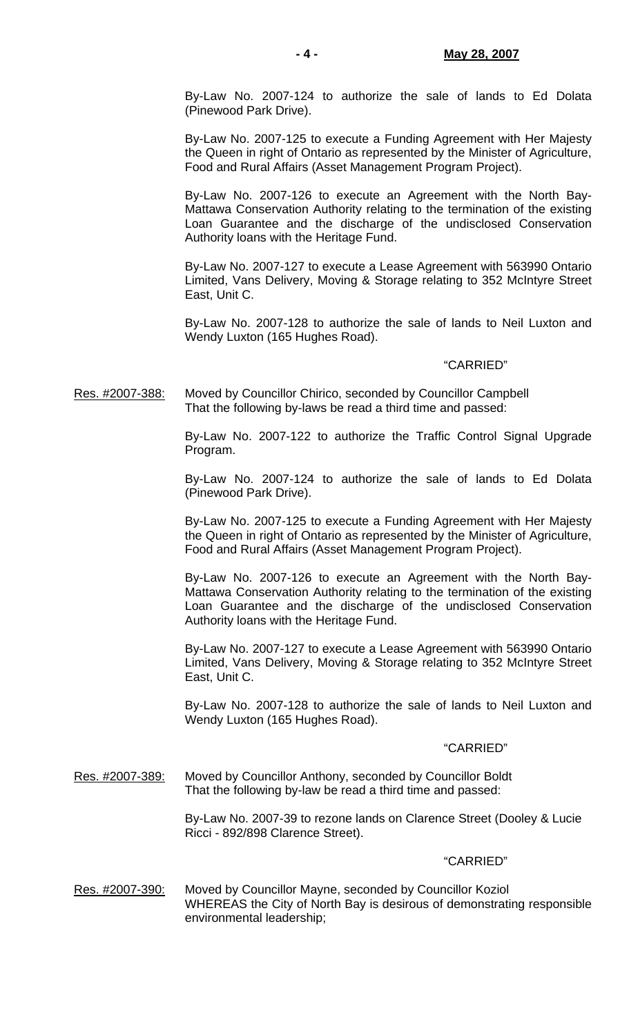By-Law No. 2007-124 to authorize the sale of lands to Ed Dolata (Pinewood Park Drive).

 By-Law No. 2007-125 to execute a Funding Agreement with Her Majesty the Queen in right of Ontario as represented by the Minister of Agriculture, Food and Rural Affairs (Asset Management Program Project).

 By-Law No. 2007-126 to execute an Agreement with the North Bay-Mattawa Conservation Authority relating to the termination of the existing Loan Guarantee and the discharge of the undisclosed Conservation Authority loans with the Heritage Fund.

 By-Law No. 2007-127 to execute a Lease Agreement with 563990 Ontario Limited, Vans Delivery, Moving & Storage relating to 352 McIntyre Street East, Unit C.

 By-Law No. 2007-128 to authorize the sale of lands to Neil Luxton and Wendy Luxton (165 Hughes Road).

## "CARRIED"

Res. #2007-388: Moved by Councillor Chirico, seconded by Councillor Campbell That the following by-laws be read a third time and passed:

> By-Law No. 2007-122 to authorize the Traffic Control Signal Upgrade Program.

> By-Law No. 2007-124 to authorize the sale of lands to Ed Dolata (Pinewood Park Drive).

> By-Law No. 2007-125 to execute a Funding Agreement with Her Majesty the Queen in right of Ontario as represented by the Minister of Agriculture, Food and Rural Affairs (Asset Management Program Project).

> By-Law No. 2007-126 to execute an Agreement with the North Bay-Mattawa Conservation Authority relating to the termination of the existing Loan Guarantee and the discharge of the undisclosed Conservation Authority loans with the Heritage Fund.

> By-Law No. 2007-127 to execute a Lease Agreement with 563990 Ontario Limited, Vans Delivery, Moving & Storage relating to 352 McIntyre Street East, Unit C.

> By-Law No. 2007-128 to authorize the sale of lands to Neil Luxton and Wendy Luxton (165 Hughes Road).

## "CARRIED"

Res. #2007-389: Moved by Councillor Anthony, seconded by Councillor Boldt That the following by-law be read a third time and passed:

> By-Law No. 2007-39 to rezone lands on Clarence Street (Dooley & Lucie Ricci - 892/898 Clarence Street).

#### "CARRIED"

Res. #2007-390: Moved by Councillor Mayne, seconded by Councillor Koziol WHEREAS the City of North Bay is desirous of demonstrating responsible environmental leadership;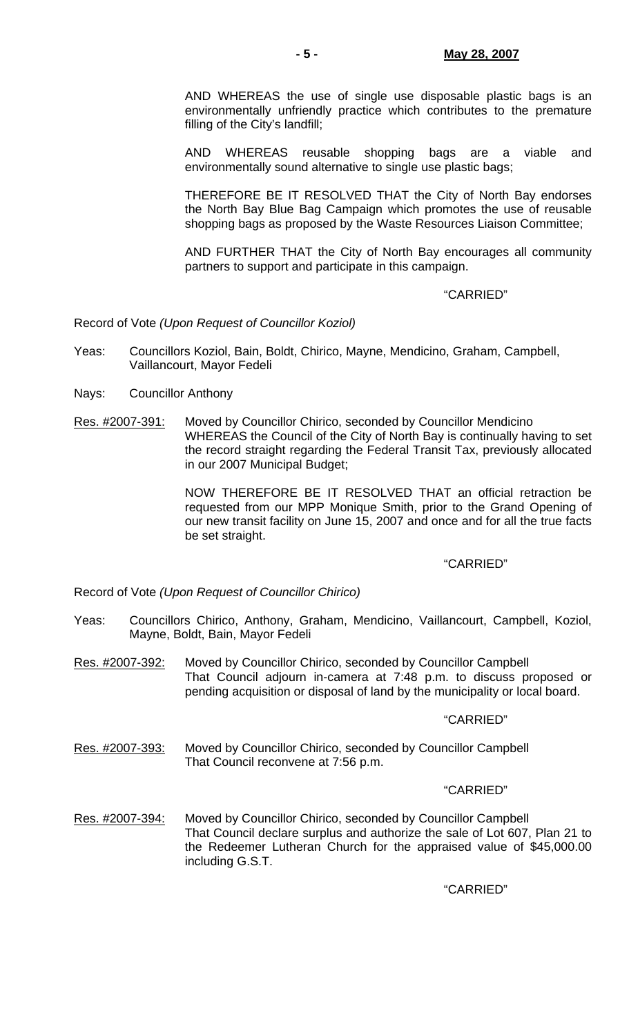AND WHEREAS the use of single use disposable plastic bags is an environmentally unfriendly practice which contributes to the premature filling of the City's landfill;

 AND WHEREAS reusable shopping bags are a viable and environmentally sound alternative to single use plastic bags;

 THEREFORE BE IT RESOLVED THAT the City of North Bay endorses the North Bay Blue Bag Campaign which promotes the use of reusable shopping bags as proposed by the Waste Resources Liaison Committee;

 AND FURTHER THAT the City of North Bay encourages all community partners to support and participate in this campaign.

## "CARRIED"

Record of Vote *(Upon Request of Councillor Koziol)*

- Yeas: Councillors Koziol, Bain, Boldt, Chirico, Mayne, Mendicino, Graham, Campbell, Vaillancourt, Mayor Fedeli
- Nays: Councillor Anthony
- Res. #2007-391: Moved by Councillor Chirico, seconded by Councillor Mendicino WHEREAS the Council of the City of North Bay is continually having to set the record straight regarding the Federal Transit Tax, previously allocated in our 2007 Municipal Budget;

 NOW THEREFORE BE IT RESOLVED THAT an official retraction be requested from our MPP Monique Smith, prior to the Grand Opening of our new transit facility on June 15, 2007 and once and for all the true facts be set straight.

# "CARRIED"

Record of Vote *(Upon Request of Councillor Chirico)*

- Yeas: Councillors Chirico, Anthony, Graham, Mendicino, Vaillancourt, Campbell, Koziol, Mayne, Boldt, Bain, Mayor Fedeli
- Res. #2007-392: Moved by Councillor Chirico, seconded by Councillor Campbell That Council adjourn in-camera at 7:48 p.m. to discuss proposed or pending acquisition or disposal of land by the municipality or local board.

## "CARRIED"

Res. #2007-393: Moved by Councillor Chirico, seconded by Councillor Campbell That Council reconvene at 7:56 p.m.

## "CARRIED"

Res. #2007-394: Moved by Councillor Chirico, seconded by Councillor Campbell That Council declare surplus and authorize the sale of Lot 607, Plan 21 to the Redeemer Lutheran Church for the appraised value of \$45,000.00 including G.S.T.

"CARRIED"